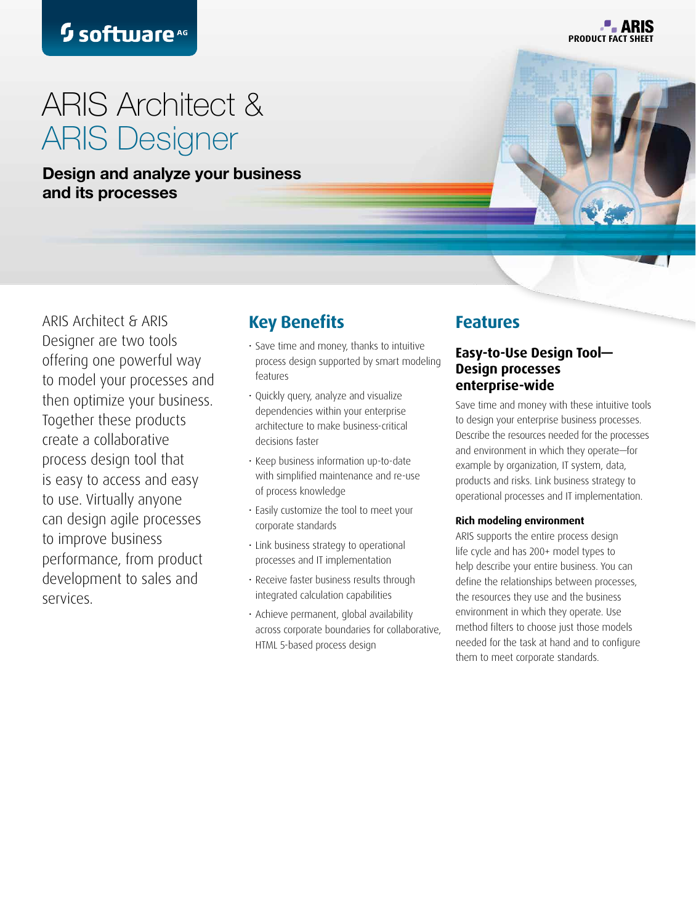**P. ARIS PRODUCT FACT** 

# ARIS Architect & ARIS Designer

Design and analyze your business and its processes **the arise of a simple and simple and simple and simple and simple and simple and simple and simple** 



ARIS Architect & ARIS Designer are two tools offering one powerful way to model your processes and then optimize your business. Together these products create a collaborative process design tool that is easy to access and easy to use. Virtually anyone can design agile processes to improve business performance, from product development to sales and services.

# **Key Benefits**

- Save time and money, thanks to intuitive process design supported by smart modeling features
- Quickly query, analyze and visualize dependencies within your enterprise architecture to make business-critical decisions faster
- Keep business information up-to-date with simplified maintenance and re-use of process knowledge
- Easily customize the tool to meet your corporate standards
- Link business strategy to operational processes and IT implementation
- Receive faster business results through integrated calculation capabilities
- Achieve permanent, global availability across corporate boundaries for collaborative, HTML 5-based process design

# **Features**

# **Easy-to-Use Design Tool— Design processes enterprise-wide**

Save time and money with these intuitive tools to design your enterprise business processes. Describe the resources needed for the processes and environment in which they operate—for example by organization, IT system, data, products and risks. Link business strategy to operational processes and IT implementation.

### **Rich modeling environment**

ARIS supports the entire process design life cycle and has 200+ model types to help describe your entire business. You can define the relationships between processes, the resources they use and the business environment in which they operate. Use method filters to choose just those models needed for the task at hand and to configure them to meet corporate standards.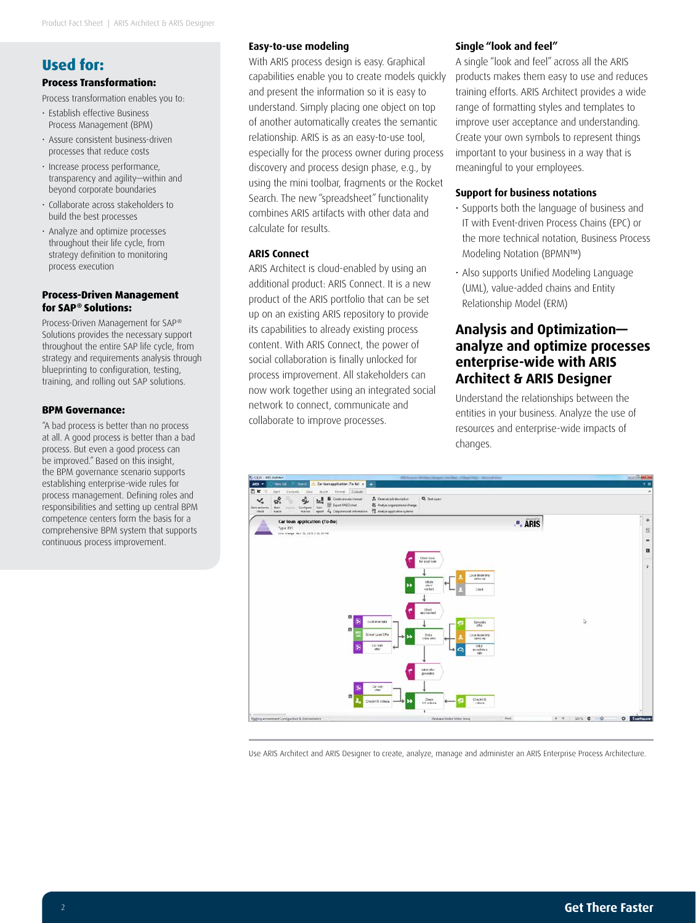# **Used for:**

### **Process Transformation:**

Process transformation enables you to:

- Establish effective Business Process Management (BPM)
- Assure consistent business-driven processes that reduce costs
- Increase process performance, transparency and agility—within and beyond corporate boundaries
- Collaborate across stakeholders to build the best processes
- Analyze and optimize processes throughout their life cycle, from strategy definition to monitoring process execution

#### **Process-Driven Management for SAP® Solutions:**

Process-Driven Management for SAP® Solutions provides the necessary support throughout the entire SAP life cycle, from strategy and requirements analysis through blueprinting to configuration, testing, training, and rolling out SAP solutions.

#### **BPM Governance:**

"A bad process is better than no process at all. A good process is better than a bad process. But even a good process can be improved." Based on this insight, the BPM governance scenario supports establishing enterprise-wide rules for process management. Defining roles and responsibilities and setting up central BPM competence centers form the basis for a comprehensive BPM system that supports continuous process improvement.

### **Easy-to-use modeling**

With ARIS process design is easy. Graphical capabilities enable you to create models quickly and present the information so it is easy to understand. Simply placing one object on top of another automatically creates the semantic relationship. ARIS is as an easy-to-use tool, especially for the process owner during process discovery and process design phase, e.g., by using the mini toolbar, fragments or the Rocket Search. The new "spreadsheet" functionality combines ARIS artifacts with other data and calculate for results.

#### **ARIS Connect**

ARIS Architect is cloud-enabled by using an additional product: ARIS Connect. It is a new product of the ARIS portfolio that can be set up on an existing ARIS repository to provide its capabilities to already existing process content. With ARIS Connect, the power of social collaboration is finally unlocked for process improvement. All stakeholders can now work together using an integrated social network to connect, communicate and collaborate to improve processes.

#### **Single "look and feel"**

A single "look and feel" across all the ARIS products makes them easy to use and reduces training efforts. ARIS Architect provides a wide range of formatting styles and templates to improve user acceptance and understanding. Create your own symbols to represent things important to your business in a way that is meaningful to your employees.

#### **Support for business notations**

- Supports both the language of business and IT with Event-driven Process Chains (EPC) or the more technical notation, Business Process Modeling Notation (BPMN™)
- Also supports Unified Modeling Language (UML), value-added chains and Entity Relationship Model (ERM)

## **Analysis and Optimization analyze and optimize processes enterprise-wide with ARIS Architect & ARIS Designer**

Understand the relationships between the entities in your business. Analyze the use of resources and enterprise-wide impacts of changes.



Use ARIS Architect and ARIS Designer to create, analyze, manage and administer an ARIS Enterprise Process Architecture.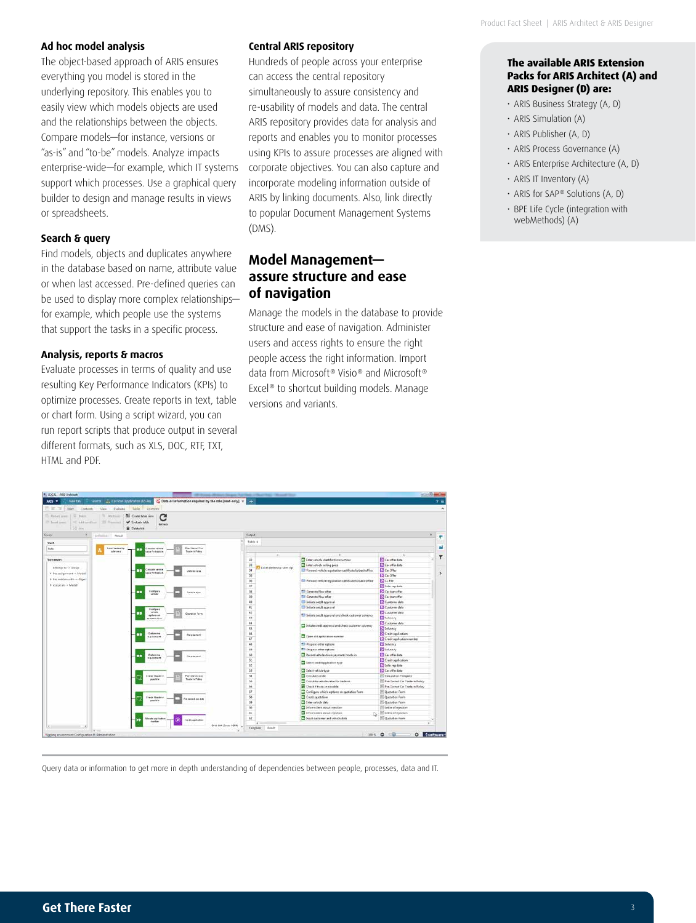#### **Ad hoc model analysis**

The object-based approach of ARIS ensures everything you model is stored in the underlying repository. This enables you to easily view which models objects are used and the relationships between the objects. Compare models—for instance, versions or "as-is" and "to-be" models. Analyze impacts enterprise-wide—for example, which IT systems support which processes. Use a graphical query builder to design and manage results in views or spreadsheets.

#### **Search & query**

Find models, objects and duplicates anywhere in the database based on name, attribute value or when last accessed. Pre-defined queries can be used to display more complex relationships for example, which people use the systems that support the tasks in a specific process.

#### **Analysis, reports & macros**

Evaluate processes in terms of quality and use resulting Key Performance Indicators (KPIs) to optimize processes. Create reports in text, table or chart form. Using a script wizard, you can run report scripts that produce output in several different formats, such as XLS, DOC, RTF, TXT, HTML and PDF.

#### **Central ARIS repository**

Hundreds of people across your enterprise can access the central repository simultaneously to assure consistency and re-usability of models and data. The central ARIS repository provides data for analysis and reports and enables you to monitor processes using KPIs to assure processes are aligned with corporate objectives. You can also capture and incorporate modeling information outside of ARIS by linking documents. Also, link directly to popular Document Management Systems (DMS).

## **Model Management assure structure and ease of navigation**

Manage the models in the database to provide structure and ease of navigation. Administer users and access rights to ensure the right people access the right information. Import data from Microsoft® Visio® and Microsoft® Excel® to shortcut building models. Manage versions and variants.

| <b>NE</b> Cranetable view<br>Ti-annual<br>To Partetizente   Ili Dakoe<br>С<br>V Linkate teble<br>PEARLSHELL 35 PARTIES<br>175 Sound Speech.<br><b>Extract.</b><br>10 mm<br><b>E</b> Coletatek                                                         |                                       |                                                                                                                         |                                    |
|-------------------------------------------------------------------------------------------------------------------------------------------------------------------------------------------------------------------------------------------------------|---------------------------------------|-------------------------------------------------------------------------------------------------------------------------|------------------------------------|
| $\overline{\phantom{a}}$<br>Delivery Pend                                                                                                                                                                                                             | Overall                               |                                                                                                                         |                                    |
|                                                                                                                                                                                                                                                       | Table 1                               |                                                                                                                         |                                    |
| Pre Giesel Car<br><b>Edition For a demolisier</b><br>Analists rentale                                                                                                                                                                                 |                                       |                                                                                                                         |                                    |
| <br>Traite in Policy<br>toles ma<br>also for basis in                                                                                                                                                                                                 |                                       |                                                                                                                         |                                    |
|                                                                                                                                                                                                                                                       |                                       |                                                                                                                         | Caratta data                       |
| Successors<br>belongs to - x Droup<br><b>Britain's service</b><br>.,<br><b>Voltario Value</b><br>des for fixes at<br>8 Pacacoground -> Model<br># has relation with -> Object<br>8 centure in a Mediat                                                | $_{21}$                               | Time whole dertification number                                                                                         |                                    |
|                                                                                                                                                                                                                                                       | 23<br>Local dealership lutes sep<br>u | To Conter vehicle selling price                                                                                         | Car offer data<br>ES Car Offer     |
|                                                                                                                                                                                                                                                       | 35                                    | To Forward vehicle registration certificate to back office<br>To forward rehicle regionation certificate to back office | Car Offer                          |
|                                                                                                                                                                                                                                                       | 56                                    |                                                                                                                         | ES CLFIke                          |
|                                                                                                                                                                                                                                                       | $\mathbb{R}^2$                        |                                                                                                                         | El Sales rep data                  |
| Contigura<br>.,                                                                                                                                                                                                                                       | $\overline{\mathbf{a}}$               | <b>Congrats New offer</b>                                                                                               | Carlosneller                       |
| <b>Variation</b> felow<br>week<br>Configure<br>value<br>.,<br>Contable Forest<br>aplara at<br><b><i><u>pretid at Form</u></i></b><br>Determine<br>.,<br>Registrant<br><b><i><u>RESERVE</u></i></b><br>Detering<br>œ<br>Regisement<br>1946-744-745-745 | 19                                    | Cenerata New offer                                                                                                      | ES Car loan offer                  |
|                                                                                                                                                                                                                                                       | 42                                    | <b>Distance condit approval</b>                                                                                         | Customer data                      |
|                                                                                                                                                                                                                                                       | 祐                                     | <sup>11</sup> Initiate undit approval                                                                                   | Colores deta                       |
|                                                                                                                                                                                                                                                       | $\overline{12}$                       |                                                                                                                         | Commerciata                        |
|                                                                                                                                                                                                                                                       | $\overline{11}$                       | TIT Initiate credit approval and check customer solvency                                                                | <b>ET</b> televiney                |
|                                                                                                                                                                                                                                                       | 44                                    |                                                                                                                         | Customer data                      |
|                                                                                                                                                                                                                                                       | ES.                                   | Initiate credit approval and check customer sulvency                                                                    | ES Selvancy                        |
|                                                                                                                                                                                                                                                       | 46                                    | D Open sist application mansher                                                                                         | Credit application                 |
|                                                                                                                                                                                                                                                       | <b>u</b>                              |                                                                                                                         | Credit application number          |
|                                                                                                                                                                                                                                                       | 48                                    | <sup>63</sup> Property other options                                                                                    | ES Solveney                        |
|                                                                                                                                                                                                                                                       | $\overline{a}$                        | Phopous other cytones                                                                                                   | E <sup>2</sup> Solvency            |
|                                                                                                                                                                                                                                                       | $\overline{M}$                        | 22 Recent vehicle down payment/ trade-in                                                                                | Caratta data                       |
|                                                                                                                                                                                                                                                       | $\mathbf{S}$                          |                                                                                                                         | Creat spplication                  |
|                                                                                                                                                                                                                                                       | R                                     | To leand contit application type                                                                                        | S Sales my data                    |
|                                                                                                                                                                                                                                                       | $33$                                  | <b>III</b> Select vehicle type                                                                                          | Car offer data                     |
| Pre-Dienet Car<br>thick it bade-                                                                                                                                                                                                                      | s                                     | <b>TI</b> Calculate credit                                                                                              | 11 Calculation Template            |
| Traile is Public<br>posada la                                                                                                                                                                                                                         | $^{56}$                               | Ξ<br>Cainsiste vehicle value for made as                                                                                | To Pue Chemed Car Trade in Policy  |
|                                                                                                                                                                                                                                                       | 56                                    | To Check if trade-in popolitie                                                                                          | Fill Pre-Demad Car Trade-in Policy |
|                                                                                                                                                                                                                                                       | 57                                    | Configure vehicle options an quotation form                                                                             | Constan Fairs                      |
| <b>Check if Insiders</b>                                                                                                                                                                                                                              | 56                                    | <sup>23</sup> Create purchase                                                                                           | Custoten Form                      |
| a weal so car<br>generation by                                                                                                                                                                                                                        | 18                                    | To Coles periode data                                                                                                   | <b>El Quistan Fees</b>             |
|                                                                                                                                                                                                                                                       | 68                                    | Stam det dout sjette                                                                                                    | Till teter of reaction             |
|                                                                                                                                                                                                                                                       | ĸ                                     | > Hom dies shout rejection<br>N                                                                                         | El Letter of reservon              |
| Marake ara lask                                                                                                                                                                                                                                       | 設                                     | To legislic qualitament and visito che data                                                                             | Constan Form                       |
| <b>Crack application</b><br><b>Combin</b>                                                                                                                                                                                                             |                                       |                                                                                                                         | $\sim$                             |

Query data or information to get more in depth understanding of dependencies between people, processes, data and IT.

#### **The available ARIS Extension Packs for ARIS Architect (A) and ARIS Designer (D) are:**

- ARIS Business Strategy (A, D)
- ARIS Simulation (A)
- ARIS Publisher (A, D)
- ARIS Process Governance (A)
- ARIS Enterprise Architecture (A, D)
- ARIS IT Inventory (A)
- ARIS for SAP® Solutions (A, D)
- BPE Life Cycle (integration with webMethods) (A)